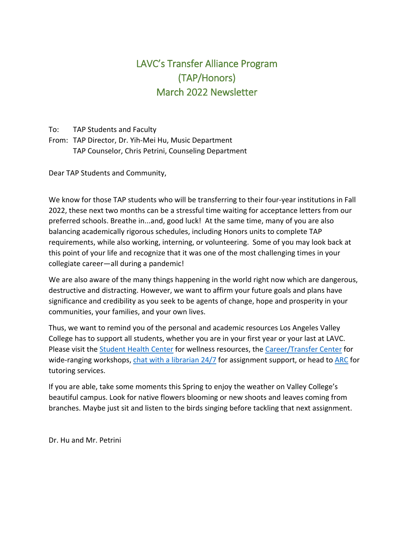# LAVC's Transfer Alliance Program (TAP/Honors) March 2022 Newsletter

To: TAP Students and Faculty

From: TAP Director, Dr. Yih-Mei Hu, Music Department TAP Counselor, Chris Petrini, Counseling Department

Dear TAP Students and Community,

We know for those TAP students who will be transferring to their four-year institutions in Fall 2022, these next two months can be a stressful time waiting for acceptance letters from our preferred schools. Breathe in...and, good luck! At the same time, many of you are also balancing academically rigorous schedules, including Honors units to complete TAP requirements, while also working, interning, or volunteering. Some of you may look back at this point of your life and recognize that it was one of the most challenging times in your collegiate career—all during a pandemic!

We are also aware of the many things happening in the world right now which are dangerous, destructive and distracting. However, we want to affirm your future goals and plans have significance and credibility as you seek to be agents of change, hope and prosperity in your communities, your families, and your own lives.

Thus, we want to remind you of the personal and academic resources Los Angeles Valley College has to support all students, whether you are in your first year or your last at LAVC. Please visit the [Student Health Center](https://www.lavc.edu/studenthealth/mental-health.aspx) for wellness resources, the [Career/Transfer Center](https://lavc.edu/transfer/index.aspx) for wide-ranging workshops, [chat with a librarian 24/7](https://lib.lavc.edu/ask-us) for assignment support, or head to [ARC](https://lavc.edu/Academic-Resource-Center/ARC-Home.aspx) for tutoring services.

If you are able, take some moments this Spring to enjoy the weather on Valley College's beautiful campus. Look for native flowers blooming or new shoots and leaves coming from branches. Maybe just sit and listen to the birds singing before tackling that next assignment.

Dr. Hu and Mr. Petrini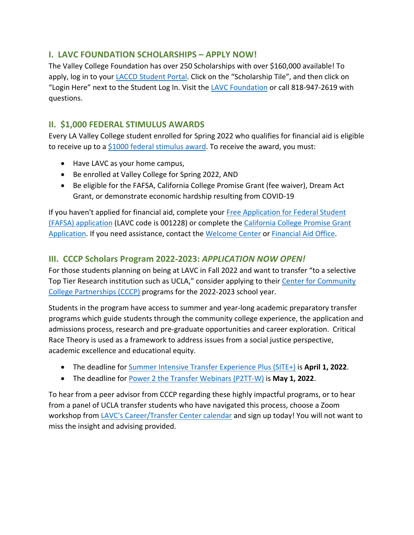## **I. LAVC FOUNDATION SCHOLARSHIPS – APPLY NOW!**

The Valley College Foundation has over 250 Scholarships with over \$160,000 available! To apply, log in to your [LACCD Student Portal.](https://sso.laccd.edu/adfs/ls/idpinitiatedsignon.aspx?loginToRp=csprd.laccd.edu) Click on the "Scholarship Tile", and then click on "Login Here" next to the Student Log In. Visit the [LAVC Foundation](http://www.lavcfoundation.org/scholarships.php) or call 818-947-2619 with questions.

## **II. \$1,000 FEDERAL STIMULUS AWARDS**

Every LA Valley College student enrolled for Spring 2022 who qualifies for financial aid is eligible to receive up to a [\\$1000 federal stimulus award.](https://www.lavc.edu/Coronavirus/Student-Updates.aspx#awards) To receive the award, you must:

- Have LAVC as your home campus,
- Be enrolled at Valley College for Spring 2022, AND
- Be eligible for the FAFSA, California College Promise Grant (fee waiver), Dream Act Grant, or demonstrate economic hardship resulting from COVID-19

If you haven't applied for financial aid, complete your [Free Application for Federal Student](https://fafsa.ed.gov/)  [\(FAFSA\) application](https://fafsa.ed.gov/) (LAVC code is 001228) or complete the [California College Promise Grant](https://www.lavc.edu/financialaid/library/docs/2021-22-CCPG-Application_ENGLISH-(3).pdf)  [Application.](https://www.lavc.edu/financialaid/library/docs/2021-22-CCPG-Application_ENGLISH-(3).pdf) If you need assistance, contact the [Welcome Center](https://www.lavc.edu/Welcome-Center/Welcome-Center.aspx) or [Financial Aid Office.](https://www.lavc.edu/financialaid/index.aspx)

## **III. CCCP Scholars Program 2022-2023:** *APPLICATION NOW OPEN!*

For those students planning on being at LAVC in Fall 2022 and want to transfer "to a selective Top Tier Research institution such as UCLA," consider applying to their [Center for Community](https://www.aap.ucla.edu/units/cccp/#scholars-program-application)  [College Partnerships \(CCCP\)](https://www.aap.ucla.edu/units/cccp/#scholars-program-application) programs for the 2022-2023 school year.

Students in the program have access to summer and year-long academic preparatory transfer programs which guide students through the community college experience, the application and admissions process, research and pre-graduate opportunities and career exploration. Critical Race Theory is used as a framework to address issues from a social justice perspective, academic excellence and educational equity.

- The deadline for [Summer Intensive Transfer Experience Plus \(SITE+\)](https://www.aap.ucla.edu/units/cccp/#summer-programs) is **April 1, 2022**.
- The deadline for [Power 2 the Transfer Webinars \(P2TT-W\)](https://www.aap.ucla.edu/units/cccp/#summer-programs) is **May 1, 2022**.

To hear from a peer advisor from CCCP regarding these highly impactful programs, or to hear from a panel of UCLA transfer students who have navigated this process, choose a Zoom workshop from [LAVC's Career/Transfer Center calendar](https://www.lavc.edu/transfer/index.aspx) and sign up today! You will not want to miss the insight and advising provided.